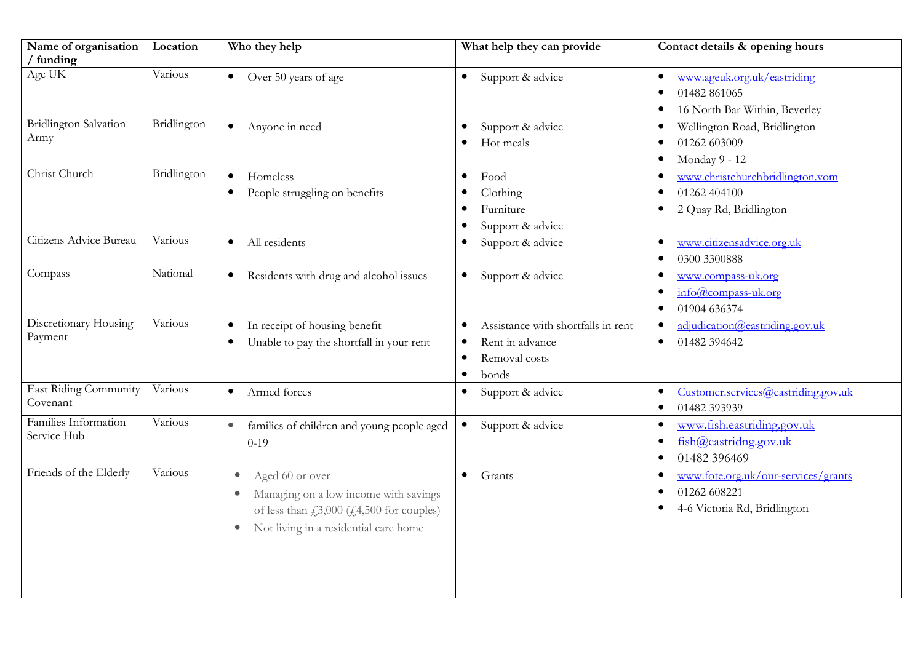| Name of organisation<br>/ funding        | Location    | Who they help                                                                                                                                                                                                               | What help they can provide                                                                                                          | Contact details & opening hours                                                             |
|------------------------------------------|-------------|-----------------------------------------------------------------------------------------------------------------------------------------------------------------------------------------------------------------------------|-------------------------------------------------------------------------------------------------------------------------------------|---------------------------------------------------------------------------------------------|
| Age UK                                   | Various     | Over 50 years of age<br>$\bullet$                                                                                                                                                                                           | Support & advice<br>$\bullet$                                                                                                       | www.ageuk.org.uk/eastriding<br>$\bullet$<br>01482 861065<br>16 North Bar Within, Beverley   |
| <b>Bridlington Salvation</b><br>Army     | Bridlington | Anyone in need<br>$\bullet$                                                                                                                                                                                                 | Support & advice<br>$\bullet$<br>Hot meals                                                                                          | Wellington Road, Bridlington<br>$\bullet$<br>01262 603009<br>Monday 9 - 12<br>$\bullet$     |
| Christ Church                            | Bridlington | Homeless<br>$\bullet$<br>People struggling on benefits<br>$\bullet$                                                                                                                                                         | Food<br>$\bullet$<br>Clothing<br>$\bullet$<br>Furniture<br>Support & advice<br>$\bullet$                                            | www.christchurchbridlington.vom<br>$\bullet$<br>01262 404100<br>2 Quay Rd, Bridlington      |
| Citizens Advice Bureau                   | Various     | All residents<br>$\bullet$                                                                                                                                                                                                  | Support & advice<br>$\bullet$                                                                                                       | www.citizensadvice.org.uk<br>$\bullet$<br>0300 3300888<br>$\bullet$                         |
| Compass                                  | National    | Residents with drug and alcohol issues<br>$\bullet$                                                                                                                                                                         | Support & advice<br>$\bullet$                                                                                                       | www.compass-uk.org<br>$\bullet$<br>info@compass-uk.org<br>01904 636374                      |
| Discretionary Housing<br>Payment         | Various     | In receipt of housing benefit<br>$\bullet$<br>Unable to pay the shortfall in your rent<br>$\bullet$                                                                                                                         | Assistance with shortfalls in rent<br>$\bullet$<br>Rent in advance<br>$\bullet$<br>Removal costs<br>$\bullet$<br>bonds<br>$\bullet$ | adjudication@eastriding.gov.uk<br>٠<br>01482 394642<br>$\bullet$                            |
| <b>East Riding Community</b><br>Covenant | Various     | Armed forces<br>$\bullet$                                                                                                                                                                                                   | Support & advice<br>$\bullet$                                                                                                       | Customer.services@easting.gov.uk<br>٠<br>01482 393939<br>$\bullet$                          |
| Families Information<br>Service Hub      | Various     | $\bullet$<br>families of children and young people aged<br>$0-19$                                                                                                                                                           | Support & advice<br>$\bullet$                                                                                                       | www.fish.eastriding.gov.uk<br>$\bullet$<br>fish@easting.gov.uk<br>01482 396469<br>$\bullet$ |
| Friends of the Elderly                   | Various     | Aged 60 or over<br>$\bullet$<br>Managing on a low income with savings<br>$\bullet$<br>of less than $\text{\textsterling}3,000 \text{\textsterling}4,500$ for couples)<br>Not living in a residential care home<br>$\bullet$ | $\bullet$<br>Grants                                                                                                                 | www.fote.org.uk/our-services/grants<br>٠<br>01262 608221<br>4-6 Victoria Rd, Bridlington    |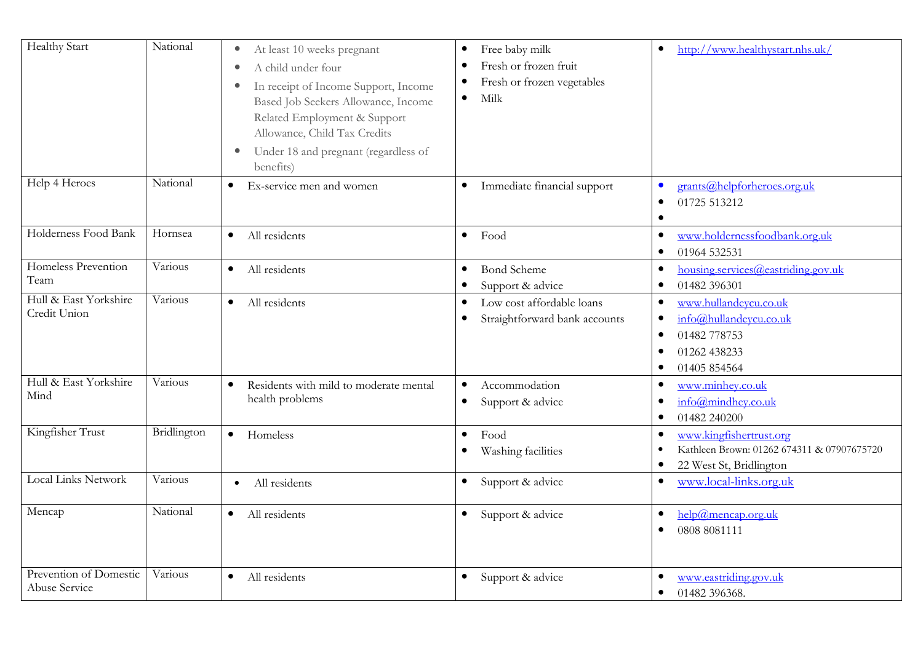| <b>Healthy Start</b>                    | National    | At least 10 weeks pregnant<br>$\bullet$<br>A child under four<br>$\bullet$<br>In receipt of Income Support, Income<br>$\bullet$<br>Based Job Seekers Allowance, Income<br>Related Employment & Support<br>Allowance, Child Tax Credits<br>Under 18 and pregnant (regardless of<br>$\bullet$<br>benefits) | Free baby milk<br>$\bullet$<br>Fresh or frozen fruit<br>٠<br>Fresh or frozen vegetables<br>$\bullet$<br>Milk<br>$\bullet$ | http://www.healthystart.nhs.uk/<br>$\bullet$                                                                                   |
|-----------------------------------------|-------------|----------------------------------------------------------------------------------------------------------------------------------------------------------------------------------------------------------------------------------------------------------------------------------------------------------|---------------------------------------------------------------------------------------------------------------------------|--------------------------------------------------------------------------------------------------------------------------------|
| Help 4 Heroes                           | National    | Ex-service men and women<br>$\bullet$                                                                                                                                                                                                                                                                    | Immediate financial support<br>$\bullet$                                                                                  | grants@helpforheroes.org.uk<br>$\bullet$<br>01725 513212<br>$\bullet$<br>$\bullet$                                             |
| Holderness Food Bank                    | Hornsea     | All residents<br>$\bullet$                                                                                                                                                                                                                                                                               | Food<br>$\bullet$                                                                                                         | www.holdernessfoodbank.org.uk<br>$\bullet$<br>01964 532531<br>$\bullet$                                                        |
| Homeless Prevention<br>Team             | Various     | All residents<br>$\bullet$                                                                                                                                                                                                                                                                               | <b>Bond Scheme</b><br>$\bullet$<br>Support & advice                                                                       | housing.services@eastriding.gov.uk<br>$\bullet$<br>01482 396301<br>$\bullet$                                                   |
| Hull & East Yorkshire<br>Credit Union   | Various     | All residents<br>$\bullet$                                                                                                                                                                                                                                                                               | Low cost affordable loans<br>$\bullet$<br>Straightforward bank accounts<br>٠                                              | www.hullandeycu.co.uk<br>$\bullet$<br>info@hullandeycu.co.uk<br>٠<br>01482 778753<br>01262 438233<br>01405 854564<br>$\bullet$ |
| Hull & East Yorkshire<br>Mind           | Various     | Residents with mild to moderate mental<br>$\bullet$<br>health problems                                                                                                                                                                                                                                   | Accommodation<br>$\bullet$<br>Support & advice<br>$\bullet$                                                               | www.minhey.co.uk<br>$\bullet$<br>$info(\hat{\theta})$ mindhey.co.uk<br>01482 240200<br>$\bullet$                               |
| Kingfisher Trust                        | Bridlington | $\bullet$<br>Homeless                                                                                                                                                                                                                                                                                    | Food<br>$\bullet$<br>Washing facilities<br>$\bullet$                                                                      | www.kingfishertrust.org<br>$\bullet$<br>Kathleen Brown: 01262 674311 & 07907675720<br>22 West St, Bridlington<br>$\bullet$     |
| <b>Local Links Network</b>              | Various     | All residents<br>$\bullet$                                                                                                                                                                                                                                                                               | Support & advice<br>$\bullet$                                                                                             | www.local-links.org.uk<br>$\bullet$                                                                                            |
| Mencap                                  | National    | All residents<br>$\bullet$                                                                                                                                                                                                                                                                               | Support & advice<br>$\bullet$                                                                                             | help@mencap.org.uk<br>$\bullet$<br>0808 8081111<br>$\bullet$                                                                   |
| Prevention of Domestic<br>Abuse Service | Various     | All residents<br>$\bullet$                                                                                                                                                                                                                                                                               | Support & advice<br>$\bullet$                                                                                             | www.eastriding.gov.uk<br>$\bullet$<br>01482 396368.<br>$\bullet$                                                               |